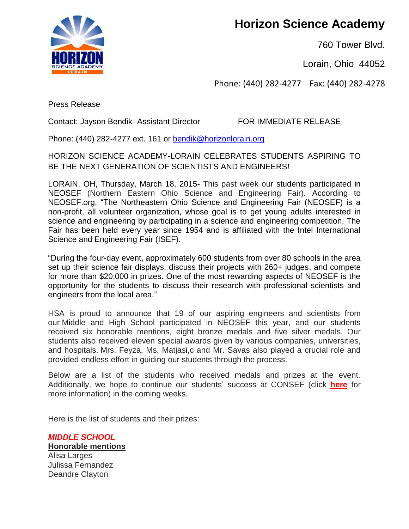**Horizon Science Academy**

760 Tower Blvd.

Lorain, Ohio 44052

Phone: (440) 282-4277 Fax: (440) 282-4278



Press Release

Contact: Jayson Bendik- Assistant Director FOR IMMEDIATE RELEASE

Phone: (440) 282-4277 ext. 161 or [bendik@horizonlorain.org](mailto:bendik@horizonlorain.org)

HORIZON SCIENCE ACADEMY-LORAIN CELEBRATES STUDENTS ASPIRING TO BE THE NEXT GENERATION OF SCIENTISTS AND ENGINEERS!

LORAIN, OH, Thursday, March 18, 2015- This past week our students participated in NEOSEF (Northern Eastern Ohio Science and Engineering Fair). According to NEOSEF.org, "The Northeastern Ohio Science and Engineering Fair (NEOSEF) is a non-profit, all volunteer organization, whose goal is to get young adults interested in science and engineering by participating in a science and engineering competition. The Fair has been held every year since 1954 and is affiliated with the Intel International Science and Engineering Fair (ISEF).

"During the four-day event, approximately 600 students from over 80 schools in the area set up their science fair displays, discuss their projects with 260+ judges, and compete for more than \$20,000 in prizes. One of the most rewarding aspects of NEOSEF is the opportunity for the students to discuss their research with professional scientists and engineers from the local area."

HSA is proud to announce that 19 of our aspiring engineers and scientists from our Middle and High School participated in NEOSEF this year, and our students received six honorable mentions, eight bronze medals and five silver medals. Our students also received eleven special awards given by various companies, universities, and hospitals. Mrs. Feyza, Ms. Matjasi,c and Mr. Savas also played a crucial role and provided endless effort in guiding our students through the process.

Below are a list of the students who received medals and prizes at the event. Additionally, we hope to continue our students' success at CONSEF (click **[here](http://www.consef.org/)** for more information) in the coming weeks.

Here is the list of students and their prizes:

*MIDDLE SCHOOL* **Honorable mentions** Alisa Larges Julissa Fernandez Deandre Clayton